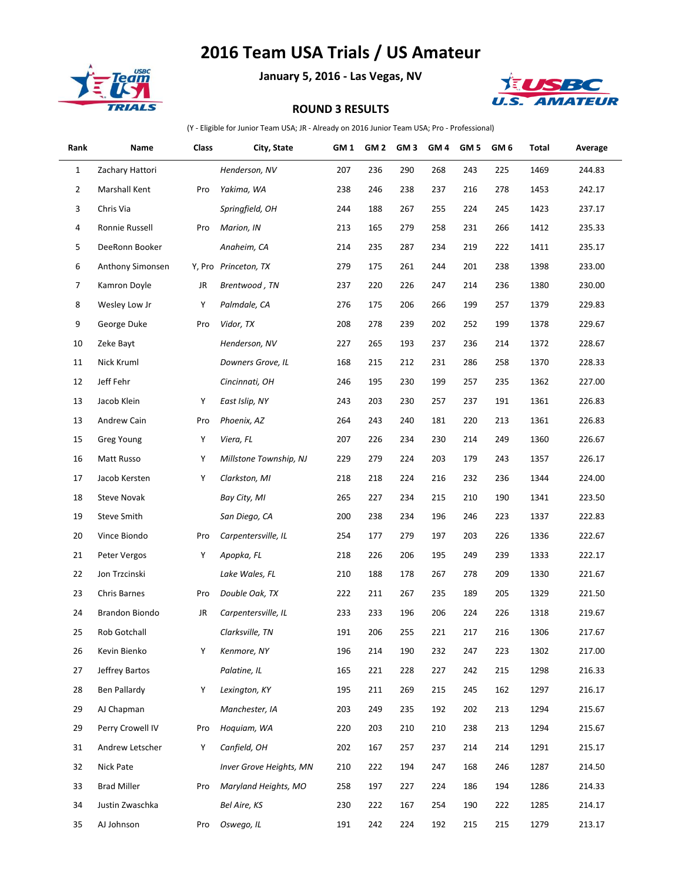## **2016 Team USA Trials / US Amateur**



**January 5, 2016 - Las Vegas, NV**



## **ROUND 3 RESULTS**

(Y - Eligible for Junior Team USA; JR - Already on 2016 Junior Team USA; Pro - Professional)

| Rank           | Name               | Class | City, State             | GM 1 | GM <sub>2</sub> | GM <sub>3</sub> | GM <sub>4</sub> | GM <sub>5</sub> | GM <sub>6</sub> | Total | Average |
|----------------|--------------------|-------|-------------------------|------|-----------------|-----------------|-----------------|-----------------|-----------------|-------|---------|
| 1              | Zachary Hattori    |       | Henderson, NV           | 207  | 236             | 290             | 268             | 243             | 225             | 1469  | 244.83  |
| $\overline{2}$ | Marshall Kent      | Pro   | Yakima, WA              | 238  | 246             | 238             | 237             | 216             | 278             | 1453  | 242.17  |
| 3              | Chris Via          |       | Springfield, OH         | 244  | 188             | 267             | 255             | 224             | 245             | 1423  | 237.17  |
| 4              | Ronnie Russell     | Pro   | Marion, IN              | 213  | 165             | 279             | 258             | 231             | 266             | 1412  | 235.33  |
| 5              | DeeRonn Booker     |       | Anaheim, CA             | 214  | 235             | 287             | 234             | 219             | 222             | 1411  | 235.17  |
| 6              | Anthony Simonsen   |       | Y, Pro Princeton, TX    | 279  | 175             | 261             | 244             | 201             | 238             | 1398  | 233.00  |
| $\overline{7}$ | Kamron Doyle       | JR    | Brentwood, TN           | 237  | 220             | 226             | 247             | 214             | 236             | 1380  | 230.00  |
| 8              | Wesley Low Jr      | Υ     | Palmdale, CA            | 276  | 175             | 206             | 266             | 199             | 257             | 1379  | 229.83  |
| 9              | George Duke        | Pro   | Vidor, TX               | 208  | 278             | 239             | 202             | 252             | 199             | 1378  | 229.67  |
| 10             | Zeke Bayt          |       | Henderson, NV           | 227  | 265             | 193             | 237             | 236             | 214             | 1372  | 228.67  |
| 11             | Nick Kruml         |       | Downers Grove, IL       | 168  | 215             | 212             | 231             | 286             | 258             | 1370  | 228.33  |
| 12             | Jeff Fehr          |       | Cincinnati, OH          | 246  | 195             | 230             | 199             | 257             | 235             | 1362  | 227.00  |
| 13             | Jacob Klein        | Υ     | East Islip, NY          | 243  | 203             | 230             | 257             | 237             | 191             | 1361  | 226.83  |
| 13             | Andrew Cain        | Pro   | Phoenix, AZ             | 264  | 243             | 240             | 181             | 220             | 213             | 1361  | 226.83  |
| 15             | Greg Young         | Υ     | Viera, FL               | 207  | 226             | 234             | 230             | 214             | 249             | 1360  | 226.67  |
| 16             | Matt Russo         | Υ     | Millstone Township, NJ  | 229  | 279             | 224             | 203             | 179             | 243             | 1357  | 226.17  |
| 17             | Jacob Kersten      | Υ     | Clarkston, MI           | 218  | 218             | 224             | 216             | 232             | 236             | 1344  | 224.00  |
| 18             | <b>Steve Novak</b> |       | Bay City, MI            | 265  | 227             | 234             | 215             | 210             | 190             | 1341  | 223.50  |
| 19             | <b>Steve Smith</b> |       | San Diego, CA           | 200  | 238             | 234             | 196             | 246             | 223             | 1337  | 222.83  |
| 20             | Vince Biondo       | Pro   | Carpentersville, IL     | 254  | 177             | 279             | 197             | 203             | 226             | 1336  | 222.67  |
| 21             | Peter Vergos       | Υ     | Apopka, FL              | 218  | 226             | 206             | 195             | 249             | 239             | 1333  | 222.17  |
| 22             | Jon Trzcinski      |       | Lake Wales, FL          | 210  | 188             | 178             | 267             | 278             | 209             | 1330  | 221.67  |
| 23             | Chris Barnes       | Pro   | Double Oak, TX          | 222  | 211             | 267             | 235             | 189             | 205             | 1329  | 221.50  |
| 24             | Brandon Biondo     | JR    | Carpentersville, IL     | 233  | 233             | 196             | 206             | 224             | 226             | 1318  | 219.67  |
| 25             | Rob Gotchall       |       | Clarksville, TN         | 191  | 206             | 255             | 221             | 217             | 216             | 1306  | 217.67  |
| 26             | Kevin Bienko       | Υ     | Kenmore, NY             | 196  | 214             | 190             | 232             | 247             | 223             | 1302  | 217.00  |
| 27             | Jeffrey Bartos     |       | Palatine, IL            | 165  | 221             | 228             | 227             | 242             | 215             | 1298  | 216.33  |
| 28             | Ben Pallardy       | Υ     | Lexington, KY           | 195  | 211             | 269             | 215             | 245             | 162             | 1297  | 216.17  |
| 29             | AJ Chapman         |       | Manchester, IA          | 203  | 249             | 235             | 192             | 202             | 213             | 1294  | 215.67  |
| 29             | Perry Crowell IV   | Pro   | Hoquiam, WA             | 220  | 203             | 210             | 210             | 238             | 213             | 1294  | 215.67  |
| 31             | Andrew Letscher    | Υ     | Canfield, OH            | 202  | 167             | 257             | 237             | 214             | 214             | 1291  | 215.17  |
| 32             | Nick Pate          |       | Inver Grove Heights, MN | 210  | 222             | 194             | 247             | 168             | 246             | 1287  | 214.50  |
| 33             | <b>Brad Miller</b> | Pro   | Maryland Heights, MO    | 258  | 197             | 227             | 224             | 186             | 194             | 1286  | 214.33  |
| 34             | Justin Zwaschka    |       | Bel Aire, KS            | 230  | 222             | 167             | 254             | 190             | 222             | 1285  | 214.17  |
| 35             | AJ Johnson         | Pro   | Oswego, IL              | 191  | 242             | 224             | 192             | 215             | 215             | 1279  | 213.17  |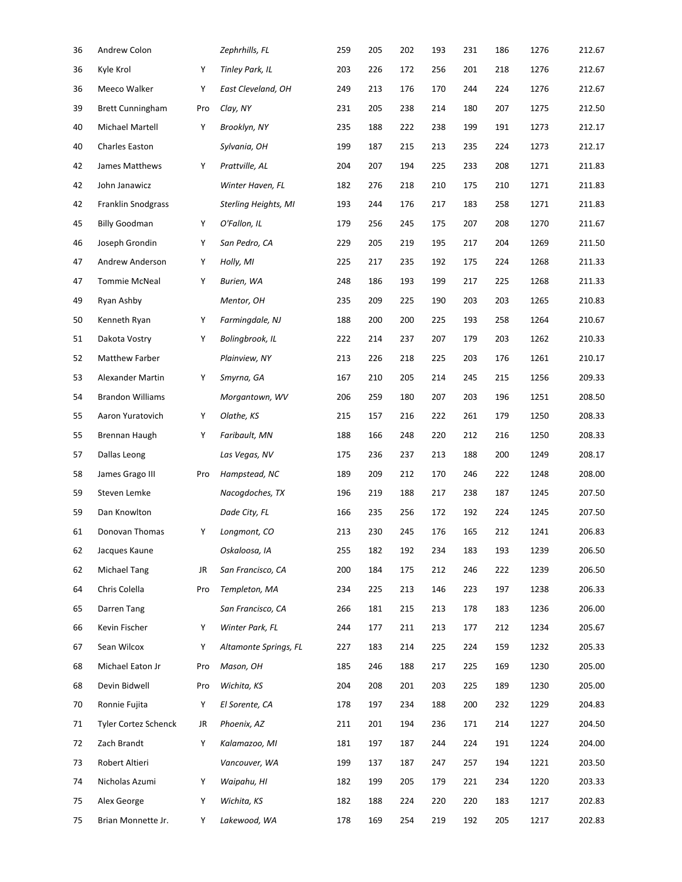| 36 | Andrew Colon                |     | Zephrhills, FL              | 259 | 205 | 202 | 193 | 231 | 186 | 1276 | 212.67 |
|----|-----------------------------|-----|-----------------------------|-----|-----|-----|-----|-----|-----|------|--------|
| 36 | Kyle Krol                   | Υ   | Tinley Park, IL             | 203 | 226 | 172 | 256 | 201 | 218 | 1276 | 212.67 |
| 36 | Meeco Walker                | Υ   | East Cleveland, OH          | 249 | 213 | 176 | 170 | 244 | 224 | 1276 | 212.67 |
| 39 | <b>Brett Cunningham</b>     | Pro | Clay, NY                    | 231 | 205 | 238 | 214 | 180 | 207 | 1275 | 212.50 |
| 40 | Michael Martell             | Υ   | Brooklyn, NY                | 235 | 188 | 222 | 238 | 199 | 191 | 1273 | 212.17 |
| 40 | Charles Easton              |     | Sylvania, OH                | 199 | 187 | 215 | 213 | 235 | 224 | 1273 | 212.17 |
| 42 | James Matthews              | Υ   | Prattville, AL              | 204 | 207 | 194 | 225 | 233 | 208 | 1271 | 211.83 |
| 42 | John Janawicz               |     | Winter Haven, FL            | 182 | 276 | 218 | 210 | 175 | 210 | 1271 | 211.83 |
| 42 | <b>Franklin Snodgrass</b>   |     | <b>Sterling Heights, MI</b> | 193 | 244 | 176 | 217 | 183 | 258 | 1271 | 211.83 |
| 45 | <b>Billy Goodman</b>        | Y   | O'Fallon, IL                | 179 | 256 | 245 | 175 | 207 | 208 | 1270 | 211.67 |
| 46 | Joseph Grondin              | Υ   | San Pedro, CA               | 229 | 205 | 219 | 195 | 217 | 204 | 1269 | 211.50 |
| 47 | Andrew Anderson             | Υ   | Holly, MI                   | 225 | 217 | 235 | 192 | 175 | 224 | 1268 | 211.33 |
| 47 | Tommie McNeal               | Υ   | Burien, WA                  | 248 | 186 | 193 | 199 | 217 | 225 | 1268 | 211.33 |
| 49 | Ryan Ashby                  |     | Mentor, OH                  | 235 | 209 | 225 | 190 | 203 | 203 | 1265 | 210.83 |
| 50 | Kenneth Ryan                | Υ   | Farmingdale, NJ             | 188 | 200 | 200 | 225 | 193 | 258 | 1264 | 210.67 |
| 51 | Dakota Vostry               | Υ   | Bolingbrook, IL             | 222 | 214 | 237 | 207 | 179 | 203 | 1262 | 210.33 |
| 52 | Matthew Farber              |     | Plainview, NY               | 213 | 226 | 218 | 225 | 203 | 176 | 1261 | 210.17 |
| 53 | Alexander Martin            | Υ   | Smyrna, GA                  | 167 | 210 | 205 | 214 | 245 | 215 | 1256 | 209.33 |
| 54 | <b>Brandon Williams</b>     |     | Morgantown, WV              | 206 | 259 | 180 | 207 | 203 | 196 | 1251 | 208.50 |
| 55 | Aaron Yuratovich            | Υ   | Olathe, KS                  | 215 | 157 | 216 | 222 | 261 | 179 | 1250 | 208.33 |
| 55 | Brennan Haugh               | Υ   | Faribault, MN               | 188 | 166 | 248 | 220 | 212 | 216 | 1250 | 208.33 |
| 57 | Dallas Leong                |     | Las Vegas, NV               | 175 | 236 | 237 | 213 | 188 | 200 | 1249 | 208.17 |
| 58 | James Grago III             | Pro | Hampstead, NC               | 189 | 209 | 212 | 170 | 246 | 222 | 1248 | 208.00 |
| 59 | Steven Lemke                |     | Nacogdoches, TX             | 196 | 219 | 188 | 217 | 238 | 187 | 1245 | 207.50 |
| 59 | Dan Knowlton                |     | Dade City, FL               | 166 | 235 | 256 | 172 | 192 | 224 | 1245 | 207.50 |
| 61 | Donovan Thomas              | Υ   | Longmont, CO                | 213 | 230 | 245 | 176 | 165 | 212 | 1241 | 206.83 |
| 62 | Jacques Kaune               |     | Oskaloosa, IA               | 255 | 182 | 192 | 234 | 183 | 193 | 1239 | 206.50 |
| 62 | <b>Michael Tang</b>         | JR  | San Francisco, CA           | 200 | 184 | 175 | 212 | 246 | 222 | 1239 | 206.50 |
| 64 | Chris Colella               | Pro | Templeton, MA               | 234 | 225 | 213 | 146 | 223 | 197 | 1238 | 206.33 |
| 65 | Darren Tang                 |     | San Francisco, CA           | 266 | 181 | 215 | 213 | 178 | 183 | 1236 | 206.00 |
| 66 | Kevin Fischer               | Υ   | Winter Park, FL             | 244 | 177 | 211 | 213 | 177 | 212 | 1234 | 205.67 |
| 67 | Sean Wilcox                 | Υ   | Altamonte Springs, FL       | 227 | 183 | 214 | 225 | 224 | 159 | 1232 | 205.33 |
| 68 | Michael Eaton Jr            | Pro | Mason, OH                   | 185 | 246 | 188 | 217 | 225 | 169 | 1230 | 205.00 |
| 68 | Devin Bidwell               | Pro | Wichita, KS                 | 204 | 208 | 201 | 203 | 225 | 189 | 1230 | 205.00 |
| 70 | Ronnie Fujita               | Υ   | El Sorente, CA              | 178 | 197 | 234 | 188 | 200 | 232 | 1229 | 204.83 |
| 71 | <b>Tyler Cortez Schenck</b> | JR  | Phoenix, AZ                 | 211 | 201 | 194 | 236 | 171 | 214 | 1227 | 204.50 |
| 72 | Zach Brandt                 | Υ   | Kalamazoo, MI               | 181 | 197 | 187 | 244 | 224 | 191 | 1224 | 204.00 |
| 73 | Robert Altieri              |     | Vancouver, WA               | 199 | 137 | 187 | 247 | 257 | 194 | 1221 | 203.50 |
| 74 | Nicholas Azumi              | Υ   | Waipahu, HI                 | 182 | 199 | 205 | 179 | 221 | 234 | 1220 | 203.33 |
| 75 | Alex George                 | Υ   | Wichita, KS                 | 182 | 188 | 224 | 220 | 220 | 183 | 1217 | 202.83 |
| 75 | Brian Monnette Jr.          | Υ   | Lakewood, WA                | 178 | 169 | 254 | 219 | 192 | 205 | 1217 | 202.83 |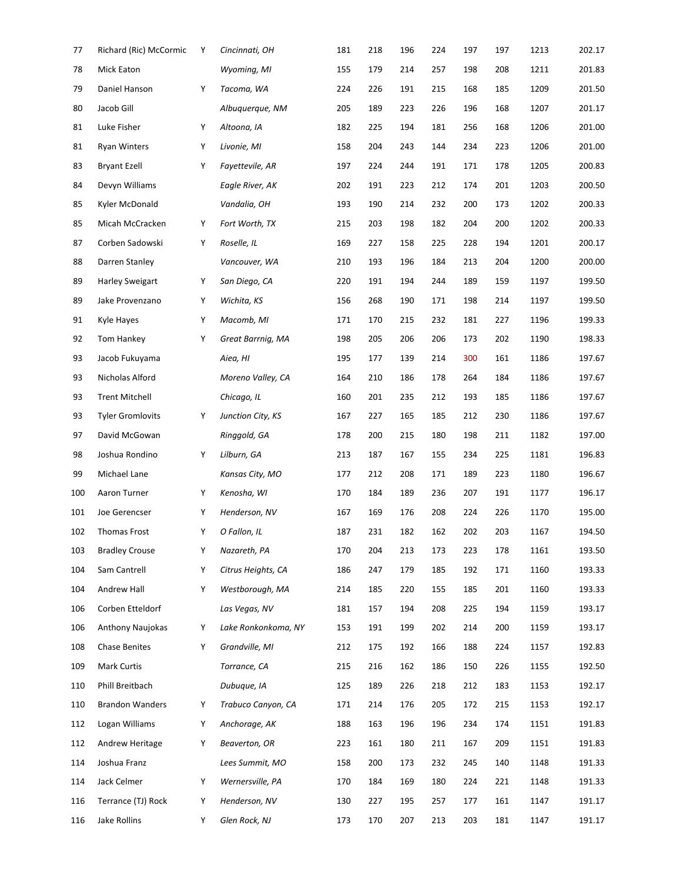| 77  | Richard (Ric) McCormic  | Υ | Cincinnati, OH      | 181 | 218 | 196 | 224 | 197 | 197 | 1213 | 202.17 |
|-----|-------------------------|---|---------------------|-----|-----|-----|-----|-----|-----|------|--------|
| 78  | Mick Eaton              |   | Wyoming, MI         | 155 | 179 | 214 | 257 | 198 | 208 | 1211 | 201.83 |
| 79  | Daniel Hanson           | Υ | Tacoma, WA          | 224 | 226 | 191 | 215 | 168 | 185 | 1209 | 201.50 |
| 80  | Jacob Gill              |   | Albuquerque, NM     | 205 | 189 | 223 | 226 | 196 | 168 | 1207 | 201.17 |
| 81  | Luke Fisher             | Υ | Altoona, IA         | 182 | 225 | 194 | 181 | 256 | 168 | 1206 | 201.00 |
| 81  | Ryan Winters            | Υ | Livonie, MI         | 158 | 204 | 243 | 144 | 234 | 223 | 1206 | 201.00 |
| 83  | <b>Bryant Ezell</b>     | Y | Fayettevile, AR     | 197 | 224 | 244 | 191 | 171 | 178 | 1205 | 200.83 |
| 84  | Devyn Williams          |   | Eagle River, AK     | 202 | 191 | 223 | 212 | 174 | 201 | 1203 | 200.50 |
| 85  | Kyler McDonald          |   | Vandalia, OH        | 193 | 190 | 214 | 232 | 200 | 173 | 1202 | 200.33 |
| 85  | Micah McCracken         | Υ | Fort Worth, TX      | 215 | 203 | 198 | 182 | 204 | 200 | 1202 | 200.33 |
| 87  | Corben Sadowski         | Υ | Roselle, IL         | 169 | 227 | 158 | 225 | 228 | 194 | 1201 | 200.17 |
| 88  | Darren Stanley          |   | Vancouver, WA       | 210 | 193 | 196 | 184 | 213 | 204 | 1200 | 200.00 |
| 89  | <b>Harley Sweigart</b>  | Υ | San Diego, CA       | 220 | 191 | 194 | 244 | 189 | 159 | 1197 | 199.50 |
| 89  | Jake Provenzano         | Υ | Wichita, KS         | 156 | 268 | 190 | 171 | 198 | 214 | 1197 | 199.50 |
| 91  | Kyle Hayes              | Υ | Macomb, MI          | 171 | 170 | 215 | 232 | 181 | 227 | 1196 | 199.33 |
| 92  | Tom Hankey              | Y | Great Barrnig, MA   | 198 | 205 | 206 | 206 | 173 | 202 | 1190 | 198.33 |
| 93  | Jacob Fukuyama          |   | Aiea, HI            | 195 | 177 | 139 | 214 | 300 | 161 | 1186 | 197.67 |
| 93  | Nicholas Alford         |   | Moreno Valley, CA   | 164 | 210 | 186 | 178 | 264 | 184 | 1186 | 197.67 |
| 93  | <b>Trent Mitchell</b>   |   | Chicago, IL         | 160 | 201 | 235 | 212 | 193 | 185 | 1186 | 197.67 |
| 93  | <b>Tyler Gromlovits</b> | Υ | Junction City, KS   | 167 | 227 | 165 | 185 | 212 | 230 | 1186 | 197.67 |
| 97  | David McGowan           |   | Ringgold, GA        | 178 | 200 | 215 | 180 | 198 | 211 | 1182 | 197.00 |
| 98  | Joshua Rondino          | Υ | Lilburn, GA         | 213 | 187 | 167 | 155 | 234 | 225 | 1181 | 196.83 |
| 99  | Michael Lane            |   | Kansas City, MO     | 177 | 212 | 208 | 171 | 189 | 223 | 1180 | 196.67 |
| 100 | Aaron Turner            | Υ | Kenosha, WI         | 170 | 184 | 189 | 236 | 207 | 191 | 1177 | 196.17 |
| 101 | Joe Gerencser           | Υ | Henderson, NV       | 167 | 169 | 176 | 208 | 224 | 226 | 1170 | 195.00 |
| 102 | <b>Thomas Frost</b>     | Υ | O Fallon, IL        | 187 | 231 | 182 | 162 | 202 | 203 | 1167 | 194.50 |
| 103 | <b>Bradley Crouse</b>   | Υ | Nazareth, PA        | 170 | 204 | 213 | 173 | 223 | 178 | 1161 | 193.50 |
| 104 | Sam Cantrell            | Υ | Citrus Heights, CA  | 186 | 247 | 179 | 185 | 192 | 171 | 1160 | 193.33 |
| 104 | Andrew Hall             | Υ | Westborough, MA     | 214 | 185 | 220 | 155 | 185 | 201 | 1160 | 193.33 |
| 106 | Corben Etteldorf        |   | Las Vegas, NV       | 181 | 157 | 194 | 208 | 225 | 194 | 1159 | 193.17 |
| 106 | Anthony Naujokas        | Y | Lake Ronkonkoma, NY | 153 | 191 | 199 | 202 | 214 | 200 | 1159 | 193.17 |
| 108 | Chase Benites           | Y | Grandville, MI      | 212 | 175 | 192 | 166 | 188 | 224 | 1157 | 192.83 |
| 109 | Mark Curtis             |   | Torrance, CA        | 215 | 216 | 162 | 186 | 150 | 226 | 1155 | 192.50 |
| 110 | Phill Breitbach         |   | Dubuque, IA         | 125 | 189 | 226 | 218 | 212 | 183 | 1153 | 192.17 |
| 110 | <b>Brandon Wanders</b>  | Υ | Trabuco Canyon, CA  | 171 | 214 | 176 | 205 | 172 | 215 | 1153 | 192.17 |
| 112 | Logan Williams          | Υ | Anchorage, AK       | 188 | 163 | 196 | 196 | 234 | 174 | 1151 | 191.83 |
| 112 | Andrew Heritage         | Υ | Beaverton, OR       | 223 | 161 | 180 | 211 | 167 | 209 | 1151 | 191.83 |
| 114 | Joshua Franz            |   | Lees Summit, MO     | 158 | 200 | 173 | 232 | 245 | 140 | 1148 | 191.33 |
| 114 | Jack Celmer             | Υ | Wernersville, PA    | 170 | 184 | 169 | 180 | 224 | 221 | 1148 | 191.33 |
| 116 | Terrance (TJ) Rock      | Υ | Henderson, NV       | 130 | 227 | 195 | 257 | 177 | 161 | 1147 | 191.17 |
| 116 | Jake Rollins            | Y | Glen Rock, NJ       | 173 | 170 | 207 | 213 | 203 | 181 | 1147 | 191.17 |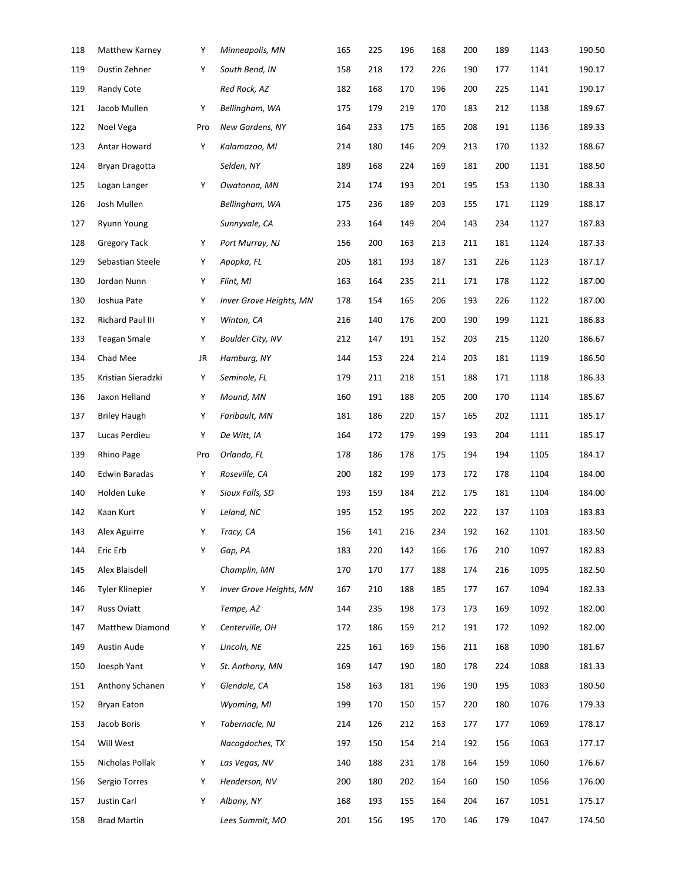| 118 | Matthew Karney      | Υ   | Minneapolis, MN         | 165 | 225 | 196 | 168 | 200 | 189 | 1143 | 190.50 |
|-----|---------------------|-----|-------------------------|-----|-----|-----|-----|-----|-----|------|--------|
| 119 | Dustin Zehner       | Υ   | South Bend, IN          | 158 | 218 | 172 | 226 | 190 | 177 | 1141 | 190.17 |
| 119 | Randy Cote          |     | Red Rock, AZ            | 182 | 168 | 170 | 196 | 200 | 225 | 1141 | 190.17 |
| 121 | Jacob Mullen        | Υ   | Bellingham, WA          | 175 | 179 | 219 | 170 | 183 | 212 | 1138 | 189.67 |
| 122 | Noel Vega           | Pro | New Gardens, NY         | 164 | 233 | 175 | 165 | 208 | 191 | 1136 | 189.33 |
| 123 | Antar Howard        | Υ   | Kalamazoo, MI           | 214 | 180 | 146 | 209 | 213 | 170 | 1132 | 188.67 |
| 124 | Bryan Dragotta      |     | Selden, NY              | 189 | 168 | 224 | 169 | 181 | 200 | 1131 | 188.50 |
| 125 | Logan Langer        | Υ   | Owatonna, MN            | 214 | 174 | 193 | 201 | 195 | 153 | 1130 | 188.33 |
| 126 | Josh Mullen         |     | Bellingham, WA          | 175 | 236 | 189 | 203 | 155 | 171 | 1129 | 188.17 |
| 127 | Ryunn Young         |     | Sunnyvale, CA           | 233 | 164 | 149 | 204 | 143 | 234 | 1127 | 187.83 |
| 128 | <b>Gregory Tack</b> | Υ   | Port Murray, NJ         | 156 | 200 | 163 | 213 | 211 | 181 | 1124 | 187.33 |
| 129 | Sebastian Steele    | Υ   | Apopka, FL              | 205 | 181 | 193 | 187 | 131 | 226 | 1123 | 187.17 |
| 130 | Jordan Nunn         | Υ   | Flint, MI               | 163 | 164 | 235 | 211 | 171 | 178 | 1122 | 187.00 |
| 130 | Joshua Pate         | Υ   | Inver Grove Heights, MN | 178 | 154 | 165 | 206 | 193 | 226 | 1122 | 187.00 |
| 132 | Richard Paul III    | Υ   | Winton, CA              | 216 | 140 | 176 | 200 | 190 | 199 | 1121 | 186.83 |
| 133 | <b>Teagan Smale</b> | Υ   | <b>Boulder City, NV</b> | 212 | 147 | 191 | 152 | 203 | 215 | 1120 | 186.67 |
| 134 | Chad Mee            | JR  | Hamburg, NY             | 144 | 153 | 224 | 214 | 203 | 181 | 1119 | 186.50 |
| 135 | Kristian Sieradzki  | Υ   | Seminole, FL            | 179 | 211 | 218 | 151 | 188 | 171 | 1118 | 186.33 |
| 136 | Jaxon Helland       | Υ   | Mound, MN               | 160 | 191 | 188 | 205 | 200 | 170 | 1114 | 185.67 |
| 137 | <b>Briley Haugh</b> | Υ   | Faribault, MN           | 181 | 186 | 220 | 157 | 165 | 202 | 1111 | 185.17 |
| 137 | Lucas Perdieu       | Υ   | De Witt, IA             | 164 | 172 | 179 | 199 | 193 | 204 | 1111 | 185.17 |
| 139 | Rhino Page          | Pro | Orlando, FL             | 178 | 186 | 178 | 175 | 194 | 194 | 1105 | 184.17 |
| 140 | Edwin Baradas       | Υ   | Roseville, CA           | 200 | 182 | 199 | 173 | 172 | 178 | 1104 | 184.00 |
| 140 | Holden Luke         | Υ   | Sioux Falls, SD         | 193 | 159 | 184 | 212 | 175 | 181 | 1104 | 184.00 |
| 142 | Kaan Kurt           | Υ   | Leland, NC              | 195 | 152 | 195 | 202 | 222 | 137 | 1103 | 183.83 |
| 143 | Alex Aguirre        | Υ   | Tracy, CA               | 156 | 141 | 216 | 234 | 192 | 162 | 1101 | 183.50 |
| 144 | Eric Erb            | Υ   | Gap, PA                 | 183 | 220 | 142 | 166 | 176 | 210 | 1097 | 182.83 |
| 145 | Alex Blaisdell      |     | Champlin, MN            | 170 | 170 | 177 | 188 | 174 | 216 | 1095 | 182.50 |
| 146 | Tyler Klinepier     | Υ   | Inver Grove Heights, MN | 167 | 210 | 188 | 185 | 177 | 167 | 1094 | 182.33 |
| 147 | <b>Russ Oviatt</b>  |     | Tempe, AZ               | 144 | 235 | 198 | 173 | 173 | 169 | 1092 | 182.00 |
| 147 | Matthew Diamond     | Υ   | Centerville, OH         | 172 | 186 | 159 | 212 | 191 | 172 | 1092 | 182.00 |
| 149 | Austin Aude         | Υ   | Lincoln, NE             | 225 | 161 | 169 | 156 | 211 | 168 | 1090 | 181.67 |
| 150 | Joesph Yant         | Υ   | St. Anthony, MN         | 169 | 147 | 190 | 180 | 178 | 224 | 1088 | 181.33 |
| 151 | Anthony Schanen     | Υ   | Glendale, CA            | 158 | 163 | 181 | 196 | 190 | 195 | 1083 | 180.50 |
| 152 | <b>Bryan Eaton</b>  |     | Wyoming, MI             | 199 | 170 | 150 | 157 | 220 | 180 | 1076 | 179.33 |
| 153 | Jacob Boris         | Υ   | Tabernacle, NJ          | 214 | 126 | 212 | 163 | 177 | 177 | 1069 | 178.17 |
| 154 | Will West           |     | Nacogdoches, TX         | 197 | 150 | 154 | 214 | 192 | 156 | 1063 | 177.17 |
| 155 | Nicholas Pollak     | Υ   | Las Vegas, NV           | 140 | 188 | 231 | 178 | 164 | 159 | 1060 | 176.67 |
| 156 | Sergio Torres       | Υ   | Henderson, NV           | 200 | 180 | 202 | 164 | 160 | 150 | 1056 | 176.00 |
| 157 | Justin Carl         | Υ   | Albany, NY              | 168 | 193 | 155 | 164 | 204 | 167 | 1051 | 175.17 |
| 158 | <b>Brad Martin</b>  |     | Lees Summit, MO         | 201 | 156 | 195 | 170 | 146 | 179 | 1047 | 174.50 |